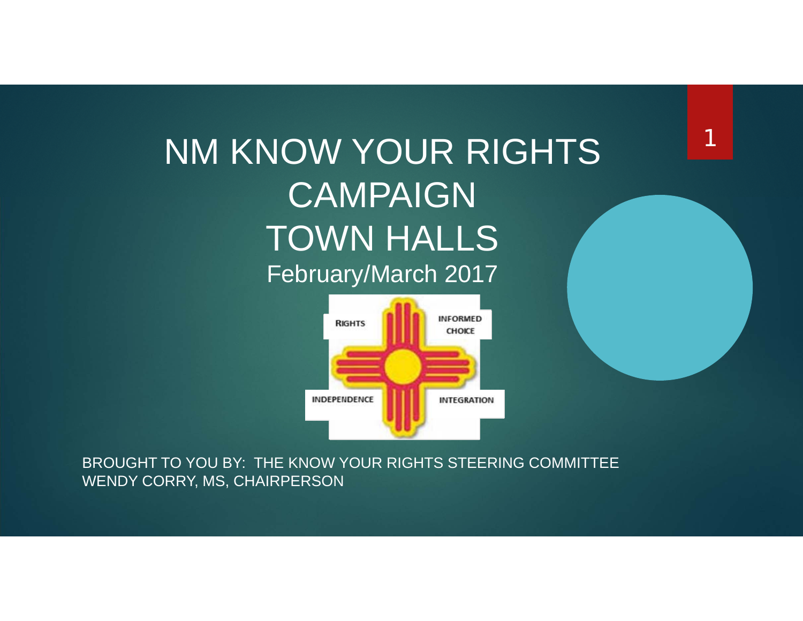#### NM KNOW YOUR RIGHTS CAMPAIGNTOWN HALLS February/March 2017

1



BROUGHT TO YOU BY: THE KNOW YOUR RIGHTS STEERING COMMITTEE WENDY CORRY, MS, CHAIRPERSON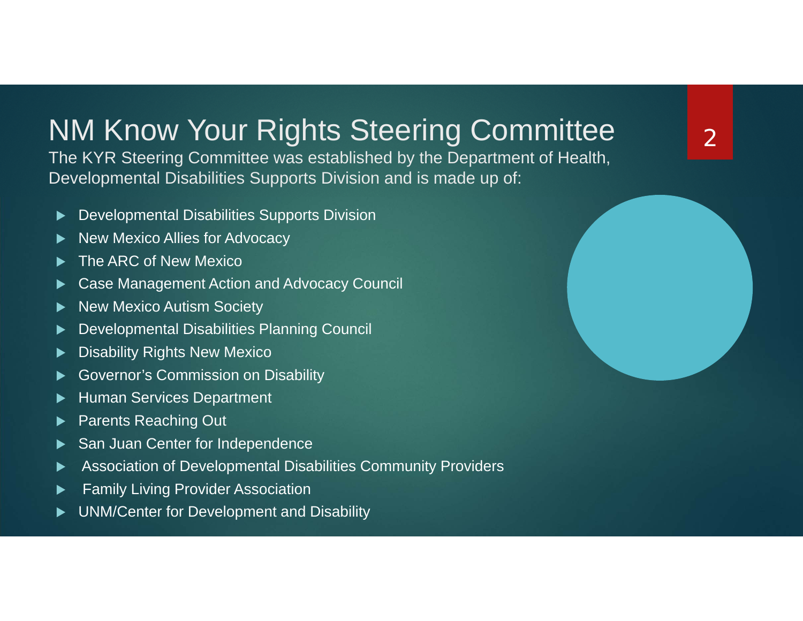#### NM Know Your Rights Steering Committee

The KYR Steering Committee was established by the Department of Health, Developmental Disabilities Supports Division and is made up of:

- $\blacktriangleright$ Developmental Disabilities Supports Division
- $\blacktriangleright$ New Mexico Allies for Advocacy
- $\blacktriangleright$ The ARC of New Mexico
- ▶ Case Management Action and Advocacy Council
- ▶ New Mexico Autism Society
- ▶ Developmental Disabilities Planning Council
- ▶ Disability Rights New Mexico
- ▶ Governor's Commission on Disability
- ▶ Human Services Department
- ▶ Parents Reaching Out
- ▶ San Juan Center for Independence
- ▶ Association of Developmental Disabilities Community Providers
- $\blacktriangleright$ Family Living Provider Association
- $\blacktriangleright$ UNM/Center for Development and Disability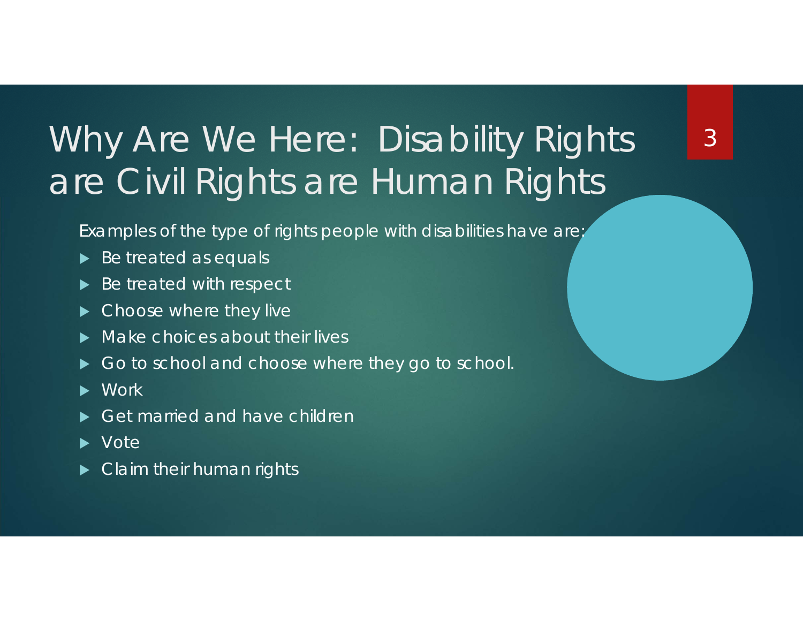## Why Are We Here: Disability Rights' are Civil Rights are Human Rights

3

Examples of the type of rights people with disabilities have are:

- ▶ Be treated as equals
- ▶ Be treated with respect
- $\blacktriangleright$ Choose where they live
- $\blacktriangleright$ Make choices about their lives
- $\blacktriangleright$ Go to school and choose where they go to school.
- $\blacktriangleright$ **Work**
- $\blacktriangleright$ Get married and have children
- ▶ Vote
- **D** Claim their human rights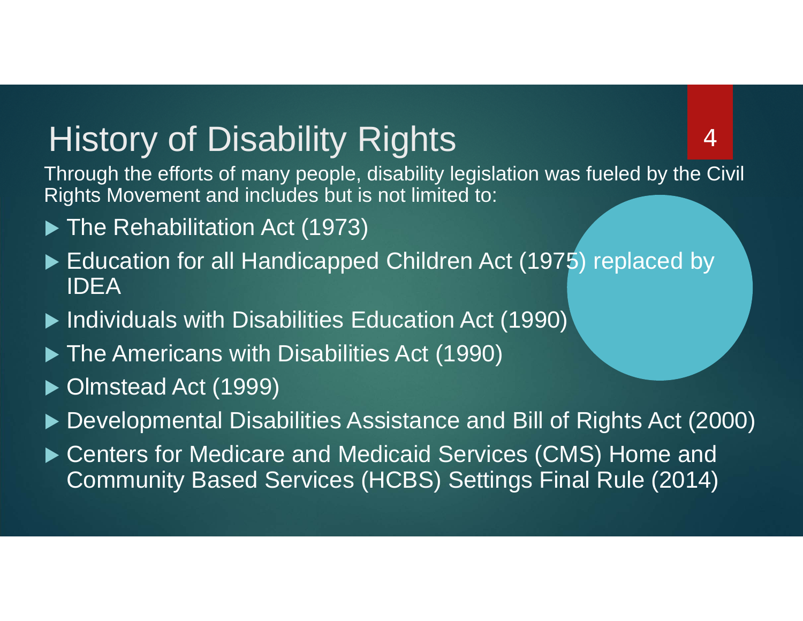#### History of Disability Rights

Through the efforts of many people, disability legislation was fueled by the Civil Rights Movement and includes but is not limited to:

- ▶ The Rehabilitation Act (1973)
- ► Education for all Handicapped Children Act (1975) replaced by IDEA
- ▶ Individuals with Disabilities Education Act (1990)
- **The Americans with Disabilities Act (1990)**
- ▶ Olmstead Act (1999)
- ▶ Developmental Disabilities Assistance and Bill of Rights Act (2000)
- ▶ Centers for Medicare and Medicaid Services (CMS) Home and Community Based Services (HCBS) Settings Final Rule (2014)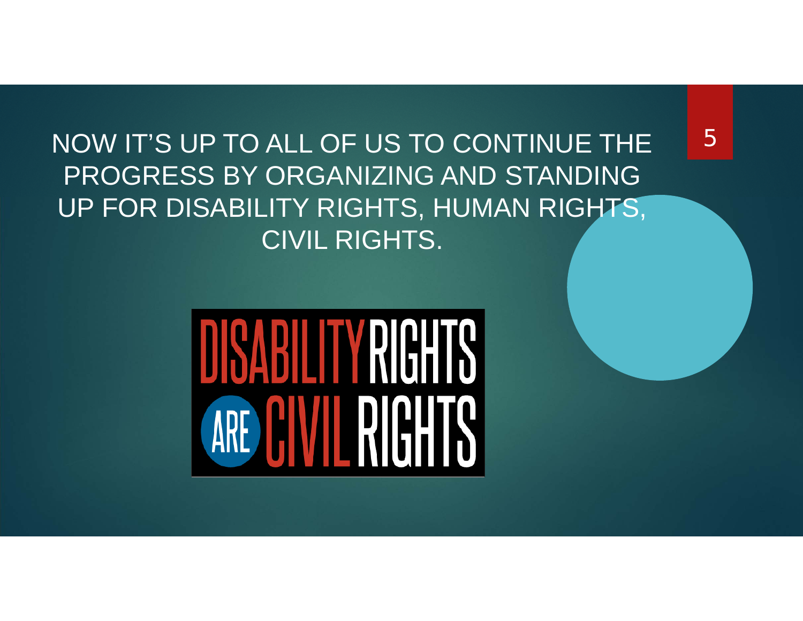NOW IT'S UP TO ALL OF US TO CONTINUE THE PROGRESS BY ORGANIZING AND STANDING UP FOR DISABILITY RIGHTS, HUMAN RIGHTS, CIVIL RIGHTS.

# DISABILITY RIGHTS ARE CIVIL RIGHTS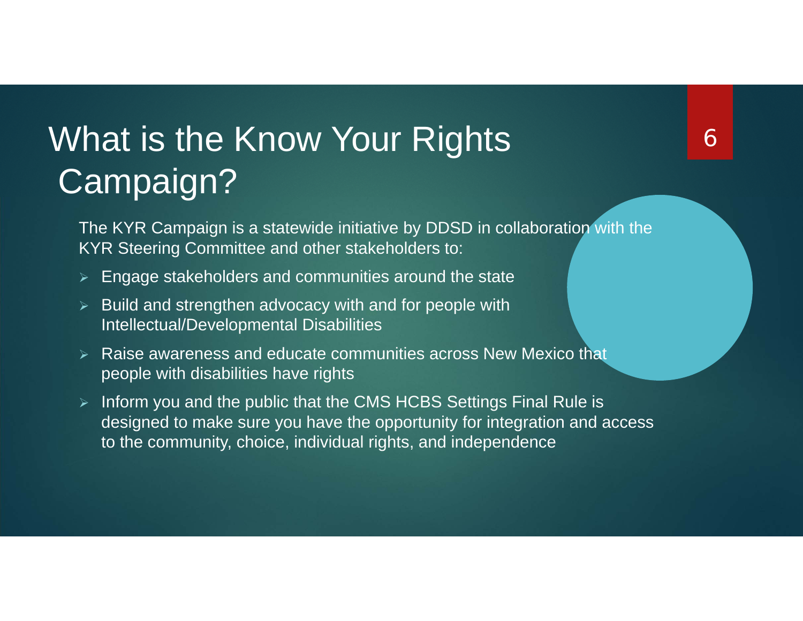## What is the Know Your Rights Campaign?

The KYR Campaign is a statewide initiative by DDSD in collaboration with the KYR Steering Committee and other stakeholders to:

- $\blacktriangleright$ Engage stakeholders and communities around the state
- $\triangleright$  Build and strengthen advocacy with and for people with Intellectual/Developmental Disabilities
- $\triangleright$  Raise awareness and educate communities across New Mexico that people with disabilities have rights
- $\triangleright$  Inform you and the public that the CMS HCBS Settings Final Rule is designed to make sure you have the opportunity for integration and access to the community, choice, individual rights, and independence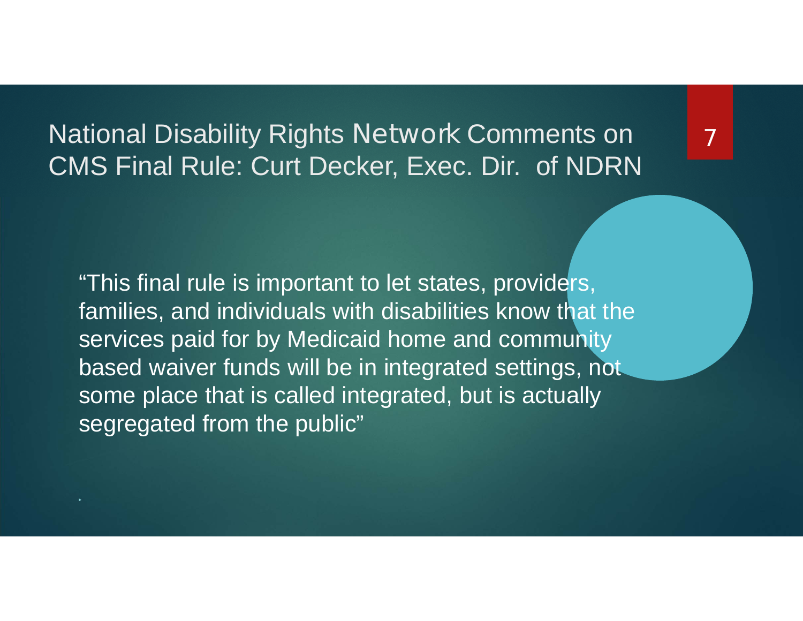National Disability Rights Network Comments on CMS Final Rule: Curt Decker, Exec. Dir. of NDRN

"This final rule is important to let states, providers, families, and individuals with disabilities know that the services paid for by Medicaid home and community based waiver funds will be in integrated settings, not some place that is called integrated, but is actually segregated from the public"

▶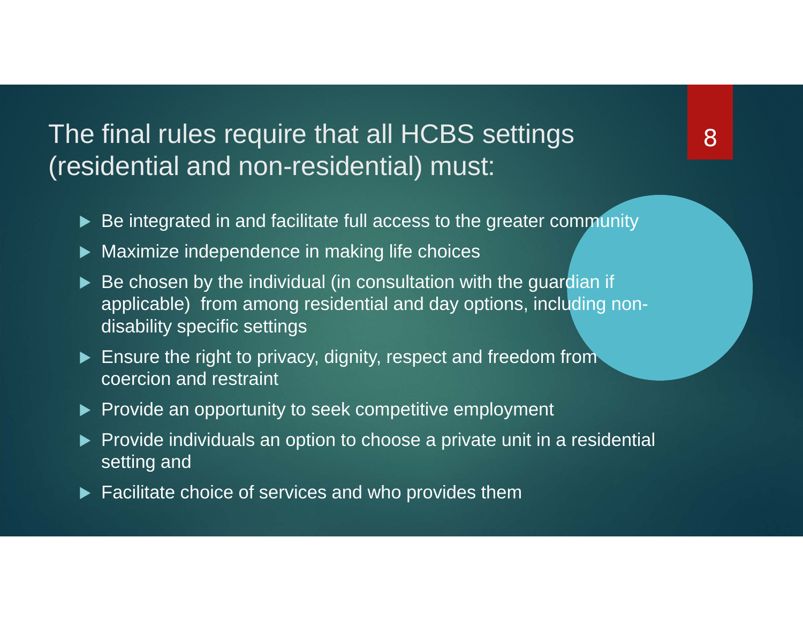The final rules require that all HCBS settings (residential and non-residential) must:

- Be integrated in and facilitate full access to the greater community
- $\blacktriangleright$  Maximize independence in making life choices
- ▶ Be chosen by the individual (in consultation with the guardian if applicable) from among residential and day options, including nondisability specific settings
- Ensure the right to privacy, dignity, respect and freedom from coercion and restraint
- ▶ Provide an opportunity to seek competitive employment
- $\blacktriangleright$  Provide individuals an option to choose a private unit in a residential setting and
- ▶ Facilitate choice of services and who provides them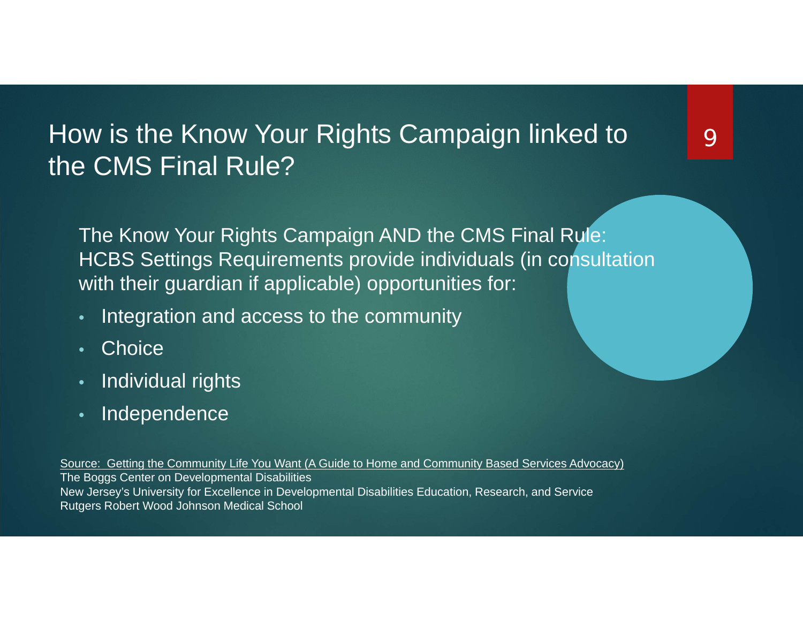#### How is the Know Your Rights Campaign linked to the CMS Final Rule?

The Know Your Rights Campaign AND the CMS Final Rule: HCBS Settings Requirements provide individuals (in consultation with their guardian if applicable) opportunities for:

- •Integration and access to the community
- •**Choice**
- •Individual rights
- •Independence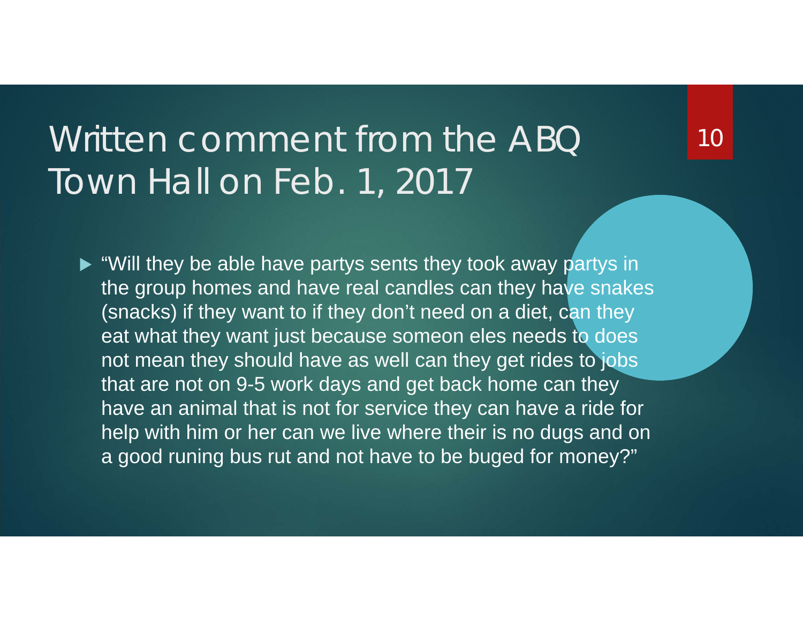#### Written comment from the ABQ Town Hall on Feb. 1, 2017

► "Will they be able have partys sents they took away partys in the group homes and have real candles can they have snakes (snacks) if they want to if they don't need on a diet, can they eat what they want just because someon eles needs to does not mean they should have as well can they get rides to jobs that are not on 9-5 work days and get back home can they have an animal that is not for service they can have a ride for help with him or her can we live where their is no dugs and on a good runing bus rut and not have to be buged for money?"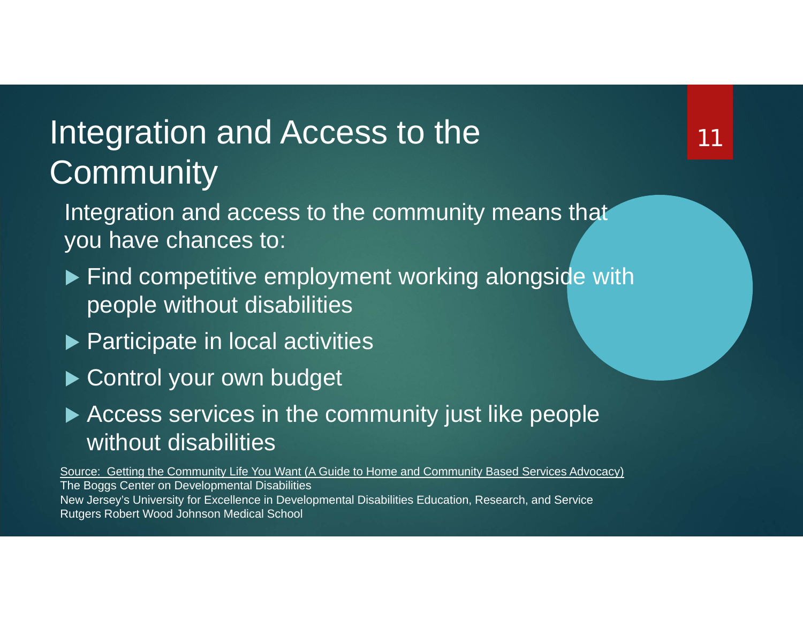#### Integration and Access to the **Community**

Integration and access to the community means that you have chances to:

- ▶ Find competitive employment working alongside with people without disabilities
- **Participate in local activities**
- Control your own budget
- Access services in the community just like people without disabilities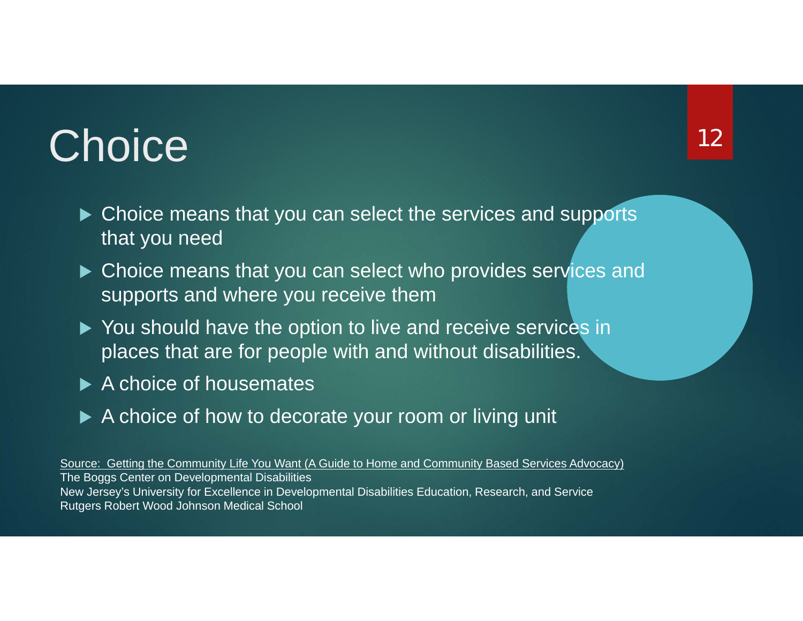## **Choice**

- ▶ Choice means that you can select the services and supports that you need
- ▶ Choice means that you can select who provides services and supports and where you receive them
- ▶ You should have the option to live and receive services in places that are for people with and without disabilities.
- ▶ A choice of housemates
- ▶ A choice of how to decorate your room or living unit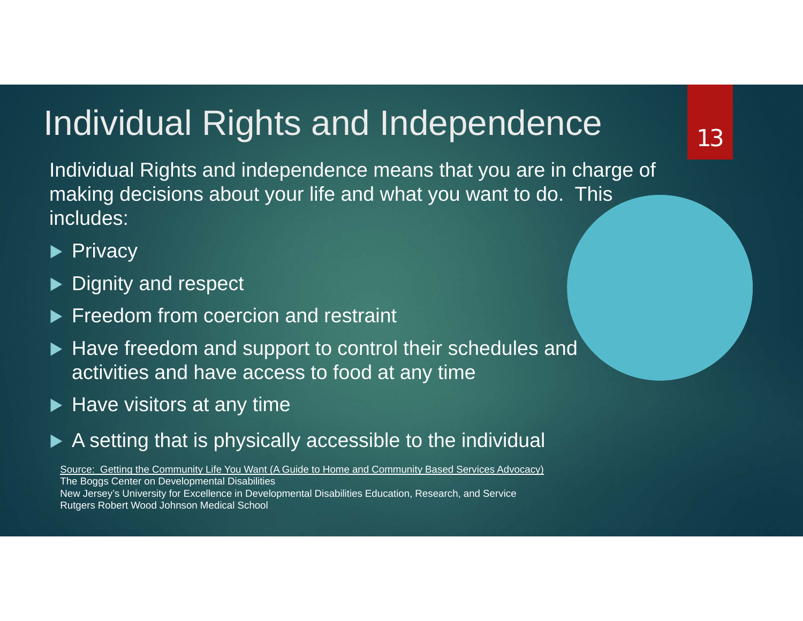#### Individual Rights and Independence

Individual Rights and independence means that you are in charge of making decisions about your life and what you want to do. This includes:

#### $\blacktriangleright$  Privacy

- ▶ Dignity and respect
- **Freedom from coercion and restraint**
- ▶ Have freedom and support to control their schedules and activities and have access to food at any time
- $\blacktriangleright$  Have visitors at any time
- ▶ A setting that is physically accessible to the individual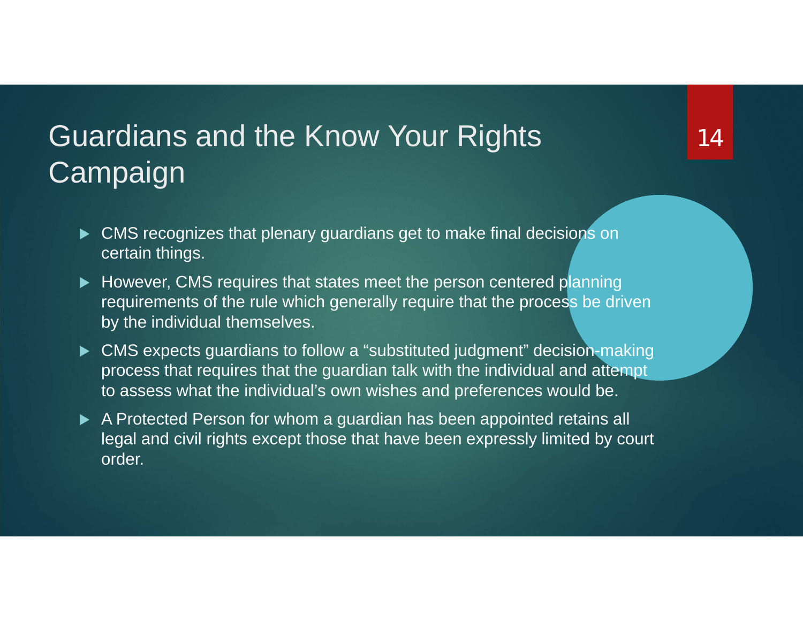#### Guardians and the Know Your Rights Campaign

- ▶ CMS recognizes that plenary guardians get to make final decisions on certain things.
- However, CMS requires that states meet the person centered planning requirements of the rule which generally require that the process be driven by the individual themselves.
- ▶ CMS expects guardians to follow a "substituted judgment" decision-making process that requires that the guardian talk with the individual and attempt to assess what the individual's own wishes and preferences would be.
- A Protected Person for whom a guardian has been appointed retains all legal and civil rights except those that have been expressly limited by court order.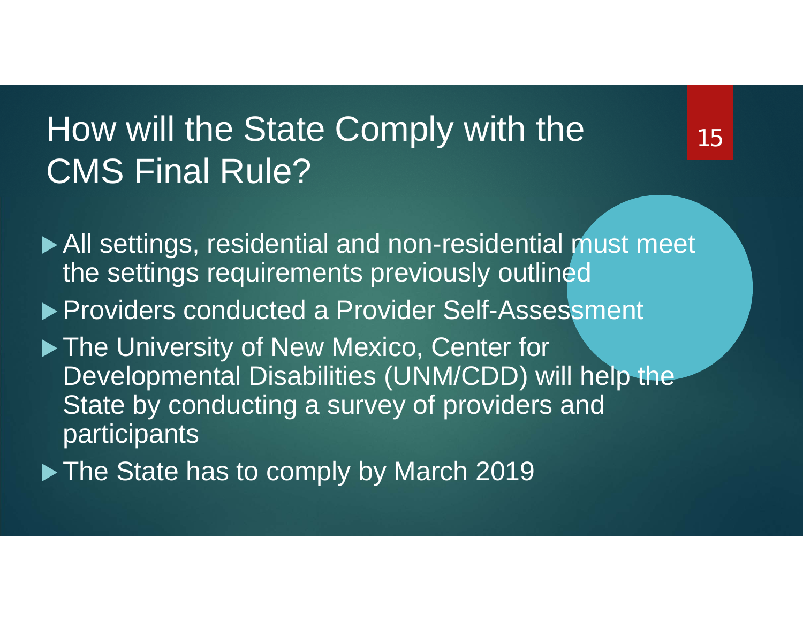#### How will the State Comply with the CMS Final Rule?

▶ All settings, residential and non-residential must meet the settings requirements previously outlined

▶ Providers conducted a Provider Self-Assessment

▶ The University of New Mexico, Center for Developmental Disabilities (UNM/CDD) will help the State by conducting a survey of providers and participants

The State has to comply by March 2019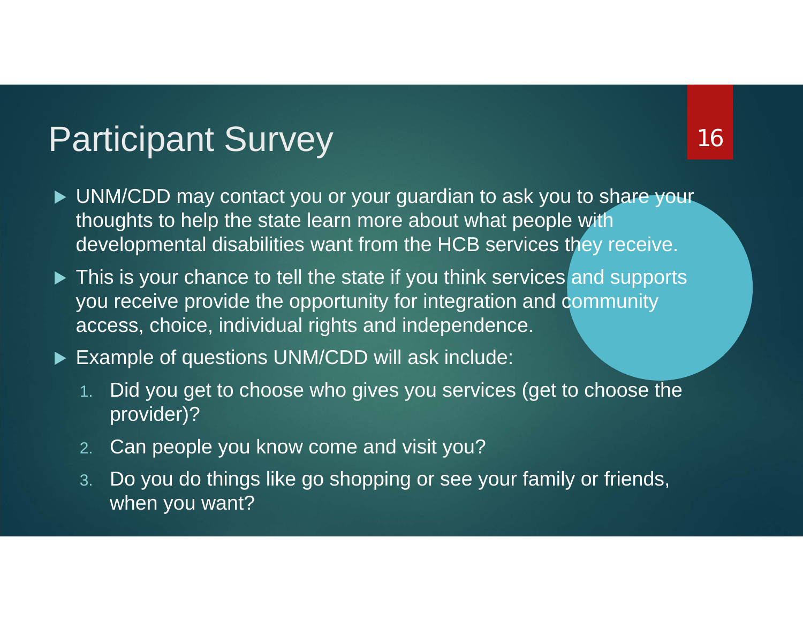#### Participant Survey

- ▶ UNM/CDD may contact you or your guardian to ask you to share your thoughts to help the state learn more about what people with developmental disabilities want from the HCB services they receive.
- ▶ This is your chance to tell the state if you think services and supports you receive provide the opportunity for integration and community access, choice, individual rights and independence.
- ▶ Example of questions UNM/CDD will ask include:
	- 1. Did you get to choose who gives you services (get to choose the provider)?
	- 2.Can people you know come and visit you?
	- 3. Do you do things like go shopping or see your family or friends, when you want?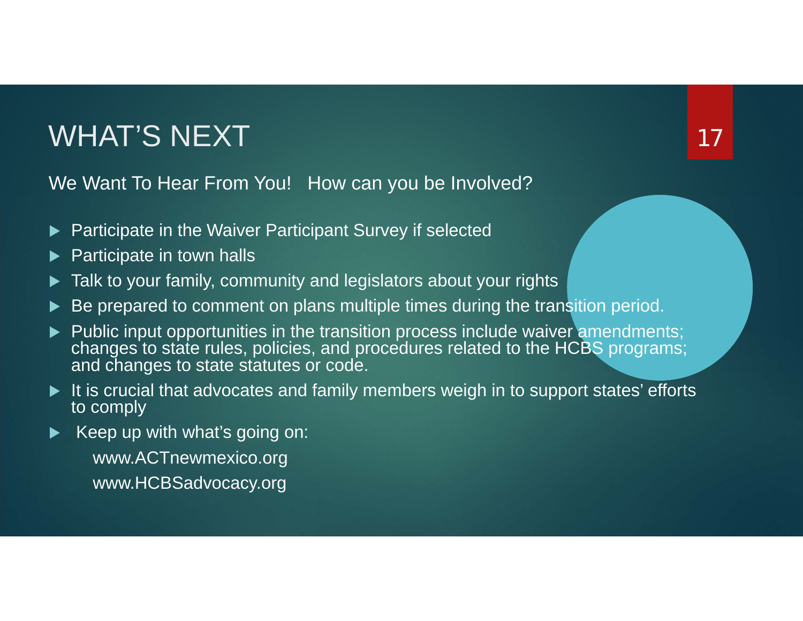#### WHAT'S NEXT

We Want To Hear From You! How can you be Involved?

- $\blacktriangleright$ Participate in the Waiver Participant Survey if selected
- $\blacktriangleright$ Participate in town halls
- $\blacktriangleright$ Talk to your family, community and legislators about your rights
- $\blacktriangleright$ Be prepared to comment on plans multiple times during the transition period.
- Public input opportunities in the transition process include waiver amendments; changes to state rules, policies, and procedures related to the HCBS programs; and changes to state statutes or code.

- ▶ It is crucial that advocates and family members weigh in to support states' efforts to comply
- ▶ Keep up with what's going on:
	- www.ACTnewmexico.org www.HCBSadvocacy.org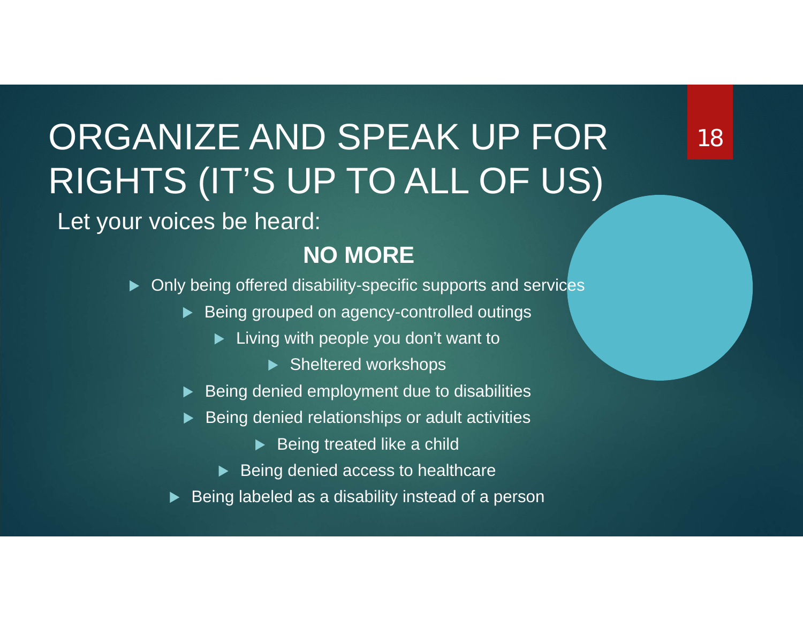## ORGANIZE AND SPEAK UP FOR RIGHTS (IT'S UP TO ALL OF US)

Let your voices be heard:

#### **NO MORE**

- ▶ Only being offered disability-specific supports and services
	- ▶ Being grouped on agency-controlled outings
		- ▶ Living with people you don't want to
			- ▶ Sheltered workshops
	- $\blacktriangleright$  Being denied employment due to disabilities
	- $\blacktriangleright$  Being denied relationships or adult activities
		- $\blacktriangleright$  Being treated like a child
		- ▶ Being denied access to healthcare
	- $\blacktriangleright$  Being labeled as a disability instead of a person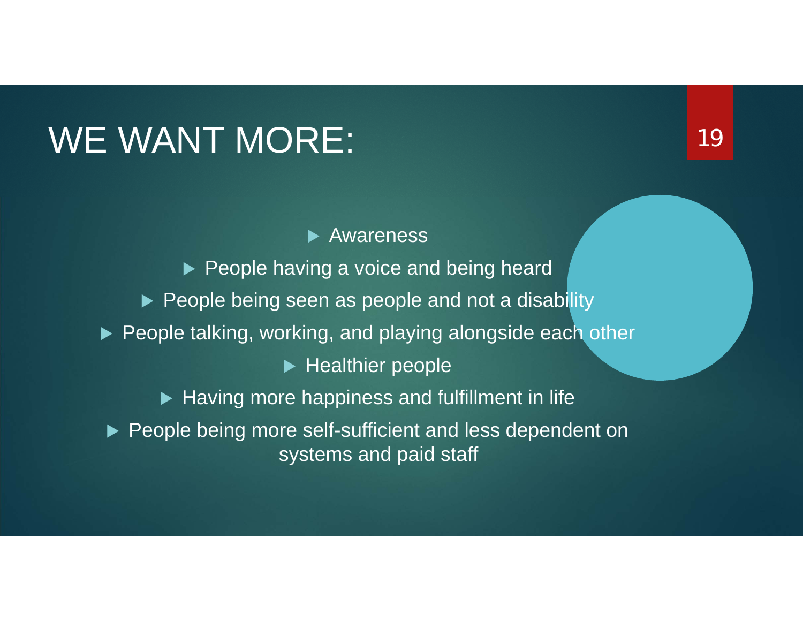### WE WANT MORE:

**Awareness**  $\blacktriangleright$  People having a voice and being heard ▶ People being seen as people and not a disability  $\blacktriangleright$  People talking, working, and playing alongside each other  $\blacktriangleright$  Healthier people  $\blacktriangleright$  Having more happiness and fulfillment in life ▶ People being more self-sufficient and less dependent on systems and paid staff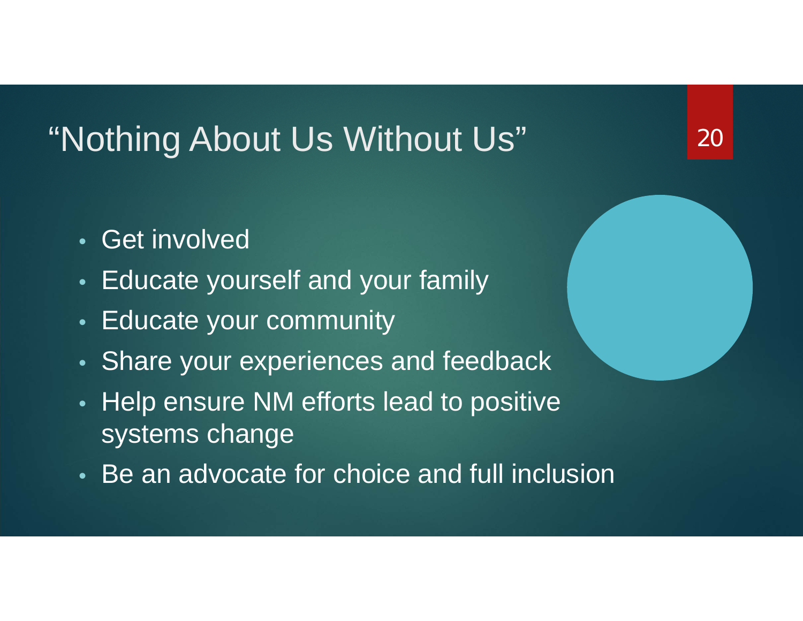#### "Nothing About Us Without Us"

- Get involved
- •Educate yourself and your family
- •Educate your community
- •Share your experiences and feedback
- •• Help ensure NM efforts lead to positive systems change
- Be an advocate for choice and full inclusion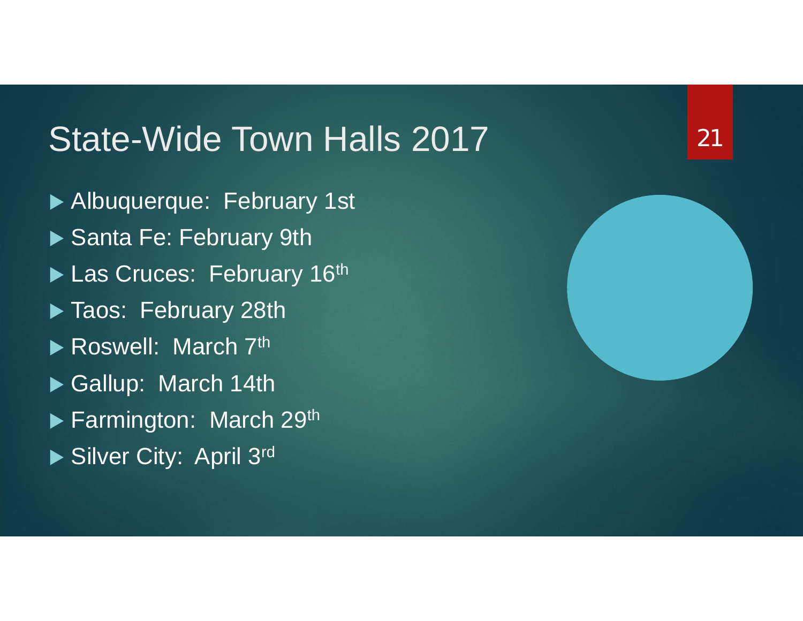#### State-Wide Town Halls 2017

- Albuquerque: February 1st
- Santa Fe: February 9th
- Las Cruces: February 16th
- Taos: February 28th
- Roswell: March 7th
- Gallup: March 14th
- ▶ Farmington: March 29th
- Silver City: April 3rd

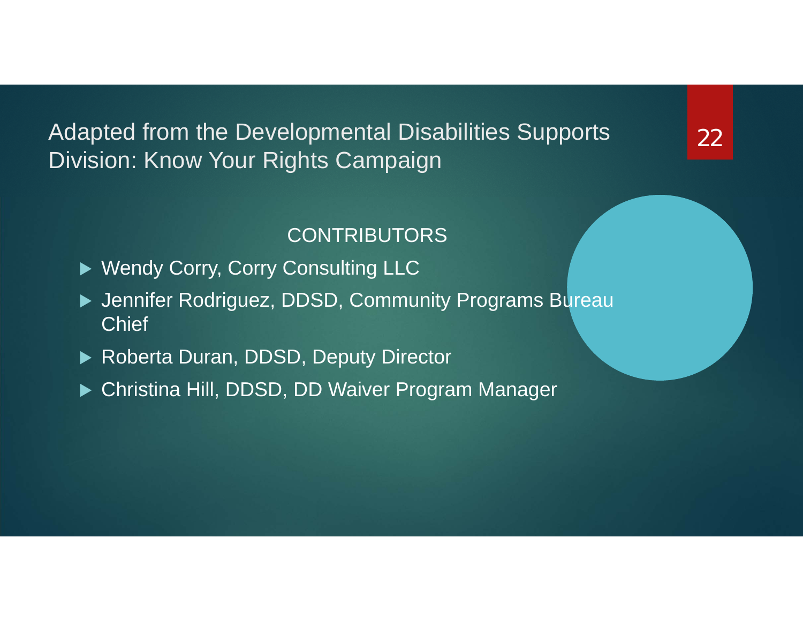Adapted from the Developmental Disabilities Supports Division: Know Your Rights Campaign

#### CONTRIBUTORS

- ▶ Wendy Corry, Corry Consulting LLC
- ▶ Jennifer Rodriguez, DDSD, Community Programs Bureau **Chief**
- ▶ Roberta Duran, DDSD, Deputy Director
- Christina Hill, DDSD, DD Waiver Program Manager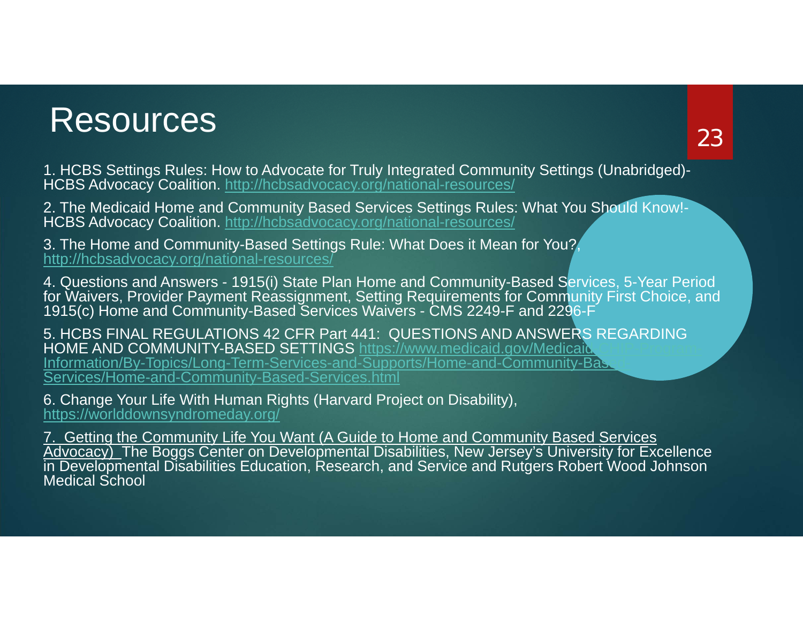#### Resources

1. HCBS Settings Rules: How to Advocate for Truly Integrated Community Settings (Unabridged)- HCBS Advocacy Coalition. http://hcbsadvocacy.org/national-resources/

2. The Medicaid Home and Community Based Services Settings Rules: What You Should Know!- HCBS Advocacy Coalition. http://hcbsadvocacy.org/national-resources/

3. The Home and Community-Based Settings Rule: What Does it Mean for You?, http://hcbsadvocacy.org/national-resources/

4. Questions and Answers - 1915(i) State Plan Home and Community-Based Services, 5-Year Period for Waivers, Provider Payment Reassignment, Setting Requirements for Community First Choice, and 1915(c) Home and Community-Based Services Waivers - CMS 2249-F and 2296-F

5. HCBS FINAL REGULATIONS 42 CFR Part 441: QUESTIONS AND ANSWERS REGARDING HOME AND COMMUNITY-BASED SETTINGS https://www.medicaid.gov/Medicaid. Information/By-Topics/Long-Term-Services-and-Supports/Home-and-Community-Base Services/Home-and-Community-Based-Services.html

6. Change Your Life With Human Rights (Harvard Project on Disability), https://worlddownsyndromeday.org/